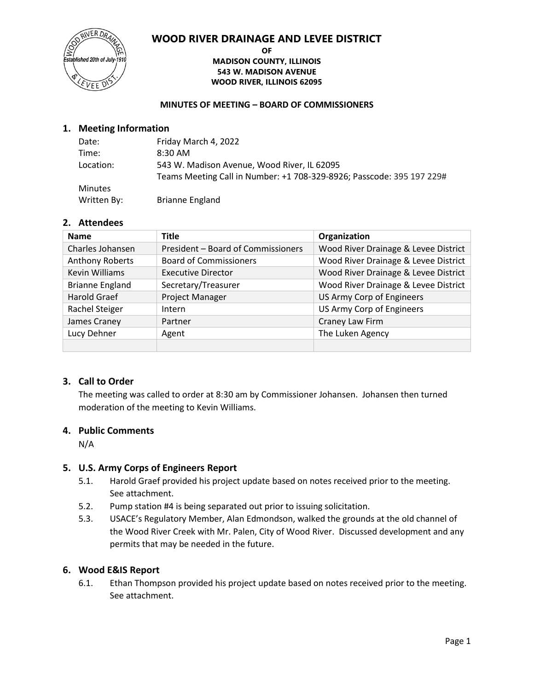## **WOOD RIVER DRAINAGE AND LEVEE DISTRICT**



#### **OF MADISON COUNTY, ILLINOIS 543 W. MADISON AVENUE WOOD RIVER, ILLINOIS 62095**

#### **MINUTES OF MEETING – BOARD OF COMMISSIONERS**

#### **1. Meeting Information**

| Date:          | Friday March 4, 2022                                                  |
|----------------|-----------------------------------------------------------------------|
| Time:          | 8:30 AM                                                               |
| Location:      | 543 W. Madison Avenue, Wood River, IL 62095                           |
|                | Teams Meeting Call in Number: +1 708-329-8926; Passcode: 395 197 229# |
| <b>Minutes</b> |                                                                       |
| Written By:    | <b>Brianne England</b>                                                |

## **2. Attendees**

| <b>Name</b>            | <b>Title</b>                       | Organization                         |
|------------------------|------------------------------------|--------------------------------------|
| Charles Johansen       | President - Board of Commissioners | Wood River Drainage & Levee District |
| <b>Anthony Roberts</b> | <b>Board of Commissioners</b>      | Wood River Drainage & Levee District |
| <b>Kevin Williams</b>  | <b>Executive Director</b>          | Wood River Drainage & Levee District |
| <b>Brianne England</b> | Secretary/Treasurer                | Wood River Drainage & Levee District |
| <b>Harold Graef</b>    | Project Manager                    | US Army Corp of Engineers            |
| Rachel Steiger         | Intern                             | US Army Corp of Engineers            |
| James Craney           | Partner                            | Craney Law Firm                      |
| Lucy Dehner            | Agent                              | The Luken Agency                     |
|                        |                                    |                                      |

#### **3. Call to Order**

The meeting was called to order at 8:30 am by Commissioner Johansen. Johansen then turned moderation of the meeting to Kevin Williams.

#### **4. Public Comments**

N/A

## **5. U.S. Army Corps of Engineers Report**

- 5.1. Harold Graef provided his project update based on notes received prior to the meeting. See attachment.
- 5.2. Pump station #4 is being separated out prior to issuing solicitation.
- 5.3. USACE's Regulatory Member, Alan Edmondson, walked the grounds at the old channel of the Wood River Creek with Mr. Palen, City of Wood River. Discussed development and any permits that may be needed in the future.

## **6. Wood E&IS Report**

6.1. Ethan Thompson provided his project update based on notes received prior to the meeting. See attachment.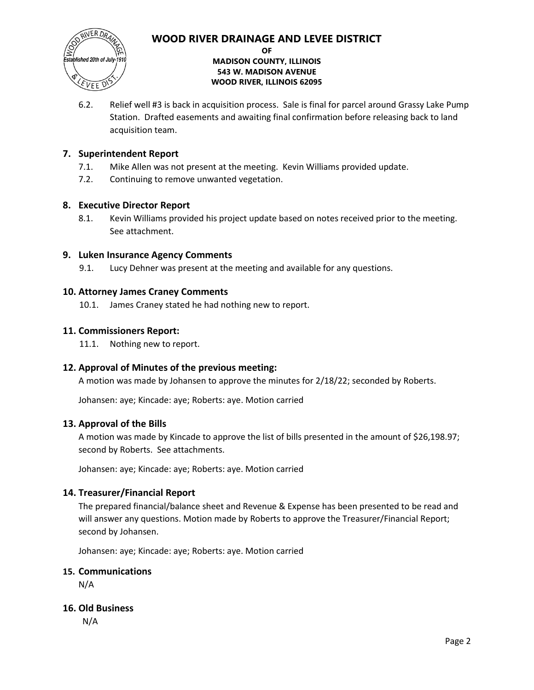## **WOOD RIVER DRAINAGE AND LEVEE DISTRICT**



#### **OF MADISON COUNTY, ILLINOIS 543 W. MADISON AVENUE WOOD RIVER, ILLINOIS 62095**

6.2. Relief well #3 is back in acquisition process. Sale is final for parcel around Grassy Lake Pump Station. Drafted easements and awaiting final confirmation before releasing back to land acquisition team.

## **7. Superintendent Report**

- 7.1. Mike Allen was not present at the meeting. Kevin Williams provided update.
- 7.2. Continuing to remove unwanted vegetation.

#### **8. Executive Director Report**

8.1. Kevin Williams provided his project update based on notes received prior to the meeting. See attachment.

## **9. Luken Insurance Agency Comments**

9.1. Lucy Dehner was present at the meeting and available for any questions.

## **10. Attorney James Craney Comments**

10.1. James Craney stated he had nothing new to report.

#### **11. Commissioners Report:**

11.1. Nothing new to report.

## **12. Approval of Minutes of the previous meeting:**

A motion was made by Johansen to approve the minutes for 2/18/22; seconded by Roberts.

Johansen: aye; Kincade: aye; Roberts: aye. Motion carried

#### **13. Approval of the Bills**

A motion was made by Kincade to approve the list of bills presented in the amount of \$26,198.97; second by Roberts. See attachments.

Johansen: aye; Kincade: aye; Roberts: aye. Motion carried

## **14. Treasurer/Financial Report**

The prepared financial/balance sheet and Revenue & Expense has been presented to be read and will answer any questions. Motion made by Roberts to approve the Treasurer/Financial Report; second by Johansen.

Johansen: aye; Kincade: aye; Roberts: aye. Motion carried

#### **15. Communications**

N/A

#### **16. Old Business**

N/A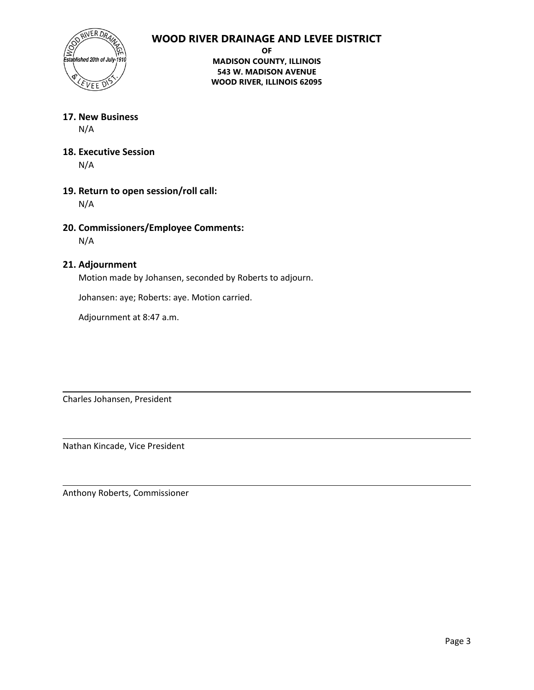## **WOOD RIVER DRAINAGE AND LEVEE DISTRICT**



**OF**

**MADISON COUNTY, ILLINOIS 543 W. MADISON AVENUE WOOD RIVER, ILLINOIS 62095**

**17. New Business** N/A

- **18. Executive Session** N/A
- **19. Return to open session/roll call:** N/A
- **20. Commissioners/Employee Comments:**

N/A

## **21. Adjournment**

Motion made by Johansen, seconded by Roberts to adjourn.

Johansen: aye; Roberts: aye. Motion carried.

Adjournment at 8:47 a.m.

Charles Johansen, President

Nathan Kincade, Vice President

Anthony Roberts, Commissioner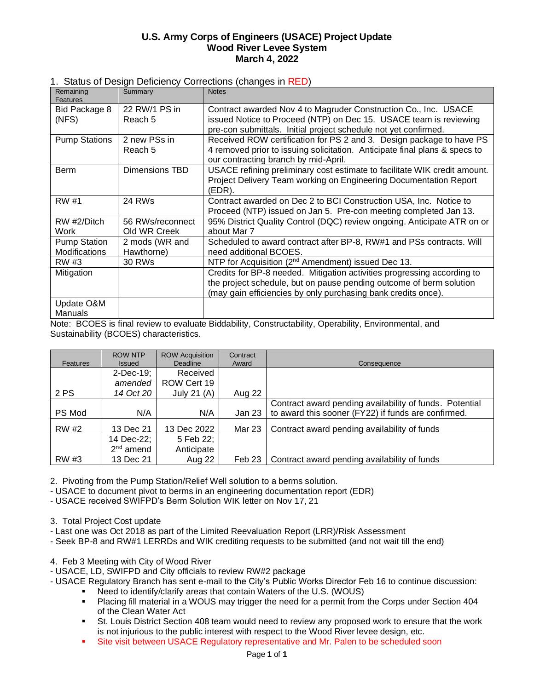#### **U.S. Army Corps of Engineers (USACE) Project Update Wood River Levee System March 4, 2022**

#### 1. Status of Design Deficiency Corrections (changes in RED)

| Remaining<br>Features                | Summary                          | <b>Notes</b>                                                                                                                                                                                                    |
|--------------------------------------|----------------------------------|-----------------------------------------------------------------------------------------------------------------------------------------------------------------------------------------------------------------|
| Bid Package 8<br>(NFS)               | 22 RW/1 PS in<br>Reach 5         | Contract awarded Nov 4 to Magruder Construction Co., Inc. USACE<br>issued Notice to Proceed (NTP) on Dec 15. USACE team is reviewing                                                                            |
|                                      |                                  | pre-con submittals. Initial project schedule not yet confirmed.                                                                                                                                                 |
| <b>Pump Stations</b>                 | 2 new PSs in<br>Reach 5          | Received ROW certification for PS 2 and 3. Design package to have PS<br>4 removed prior to issuing solicitation. Anticipate final plans & specs to<br>our contracting branch by mid-April.                      |
| <b>Berm</b>                          | Dimensions TBD                   | USACE refining preliminary cost estimate to facilitate WIK credit amount.<br>Project Delivery Team working on Engineering Documentation Report<br>(EDR).                                                        |
| RW #1                                | 24 RWs                           | Contract awarded on Dec 2 to BCI Construction USA, Inc. Notice to<br>Proceed (NTP) issued on Jan 5. Pre-con meeting completed Jan 13.                                                                           |
| RW #2/Ditch<br>Work                  | 56 RWs/reconnect<br>Old WR Creek | 95% District Quality Control (DQC) review ongoing. Anticipate ATR on or<br>about Mar 7                                                                                                                          |
| <b>Pump Station</b><br>Modifications | 2 mods (WR and<br>Hawthorne)     | Scheduled to award contract after BP-8, RW#1 and PSs contracts. Will<br>need additional BCOES.                                                                                                                  |
| RW #3                                | <b>30 RWs</b>                    | NTP for Acquisition (2 <sup>nd</sup> Amendment) issued Dec 13.                                                                                                                                                  |
| Mitigation                           |                                  | Credits for BP-8 needed. Mitigation activities progressing according to<br>the project schedule, but on pause pending outcome of berm solution<br>(may gain efficiencies by only purchasing bank credits once). |
| Update O&M<br>Manuals                |                                  |                                                                                                                                                                                                                 |

Note: BCOES is final review to evaluate Biddability, Constructability, Operability, Environmental, and Sustainability (BCOES) characteristics.

| Features     | <b>ROW NTP</b><br><b>Issued</b> | <b>ROW Acquisition</b><br>Deadline | Contract<br>Award | Consequence                                             |
|--------------|---------------------------------|------------------------------------|-------------------|---------------------------------------------------------|
|              | $2$ -Dec-19;                    | Received                           |                   |                                                         |
|              | amended                         | ROW Cert 19                        |                   |                                                         |
| 2 PS         | 14 Oct 20                       | July 21 (A)                        | Aug 22            |                                                         |
|              |                                 |                                    |                   | Contract award pending availability of funds. Potential |
| PS Mod       | N/A                             | N/A                                | Jan 23            | to award this sooner (FY22) if funds are confirmed.     |
| <b>RW</b> #2 | 13 Dec 21                       | 13 Dec 2022                        | Mar 23            | Contract award pending availability of funds            |
|              | 14 Dec-22;                      | 5 Feb 22;                          |                   |                                                         |
|              | $2nd$ amend                     | Anticipate                         |                   |                                                         |
| RW #3        | 13 Dec 21                       | Aug 22                             | Feb 23            | Contract award pending availability of funds            |

2. Pivoting from the Pump Station/Relief Well solution to a berms solution.

- USACE to document pivot to berms in an engineering documentation report (EDR)

- USACE received SWIFPD's Berm Solution WIK letter on Nov 17, 21

3. Total Project Cost update

- Last one was Oct 2018 as part of the Limited Reevaluation Report (LRR)/Risk Assessment

- Seek BP-8 and RW#1 LERRDs and WIK crediting requests to be submitted (and not wait till the end)

4. Feb 3 Meeting with City of Wood River

- USACE, LD, SWIFPD and City officials to review RW#2 package

- USACE Regulatory Branch has sent e-mail to the City's Public Works Director Feb 16 to continue discussion:

- Need to identify/clarify areas that contain Waters of the U.S. (WOUS)
- Placing fill material in a WOUS may trigger the need for a permit from the Corps under Section 404 of the Clean Water Act
- **•** St. Louis District Section 408 team would need to review any proposed work to ensure that the work is not injurious to the public interest with respect to the Wood River levee design, etc.
- **•** Site visit between USACE Regulatory representative and Mr. Palen to be scheduled soon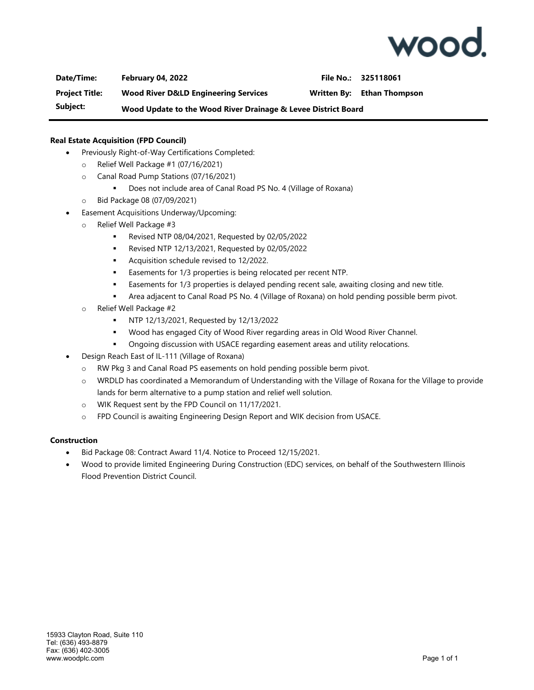

**Date/Time: February 04, 2022 File No.: 325118061 Project Title: Wood River D&LD Engineering Services Written By: Ethan Thompson Subject: Wood Update to the Wood River Drainage & Levee District Board**

#### **Real Estate Acquisition (FPD Council)**

- Previously Right-of-Way Certifications Completed:
	- o Relief Well Package #1 (07/16/2021)
	- o Canal Road Pump Stations (07/16/2021)
		- Does not include area of Canal Road PS No. 4 (Village of Roxana)
	- o Bid Package 08 (07/09/2021)
- Easement Acquisitions Underway/Upcoming:
	- o Relief Well Package #3
		- Revised NTP 08/04/2021, Requested by 02/05/2022
		- Revised NTP 12/13/2021, Requested by 02/05/2022
		- Acquisition schedule revised to 12/2022.
		- Easements for 1/3 properties is being relocated per recent NTP.
		- Easements for 1/3 properties is delayed pending recent sale, awaiting closing and new title.
		- Area adjacent to Canal Road PS No. 4 (Village of Roxana) on hold pending possible berm pivot.
	- o Relief Well Package #2
		- NTP 12/13/2021, Requested by 12/13/2022
		- Wood has engaged City of Wood River regarding areas in Old Wood River Channel.
		- **•** Ongoing discussion with USACE regarding easement areas and utility relocations.
	- Design Reach East of IL-111 (Village of Roxana)
		- o RW Pkg 3 and Canal Road PS easements on hold pending possible berm pivot.
		- o WRDLD has coordinated a Memorandum of Understanding with the Village of Roxana for the Village to provide lands for berm alternative to a pump station and relief well solution.
		- o WIK Request sent by the FPD Council on 11/17/2021.
		- o FPD Council is awaiting Engineering Design Report and WIK decision from USACE.

#### **Construction**

- Bid Package 08: Contract Award 11/4. Notice to Proceed 12/15/2021.
- Wood to provide limited Engineering During Construction (EDC) services, on behalf of the Southwestern Illinois Flood Prevention District Council.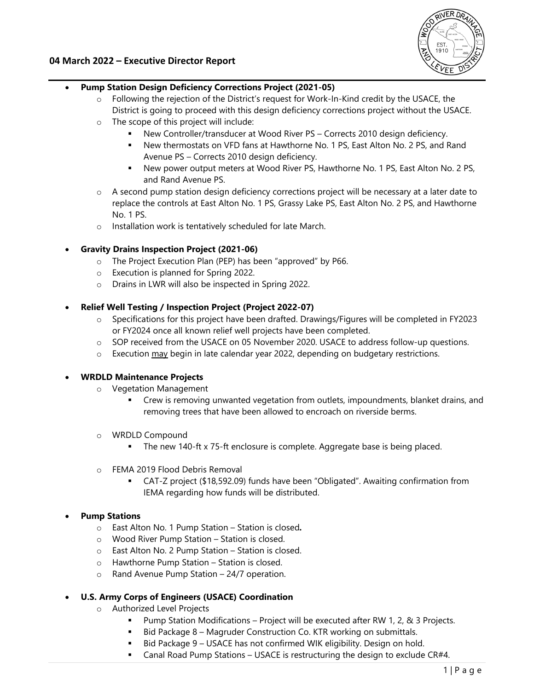

## **04 March 2022 – Executive Director Report**

## **Pump Station Design Deficiency Corrections Project (2021-05)**

- $\circ$  Following the rejection of the District's request for Work-In-Kind credit by the USACE, the District is going to proceed with this design deficiency corrections project without the USACE.
- o The scope of this project will include:
	- New Controller/transducer at Wood River PS Corrects 2010 design deficiency.
	- New thermostats on VFD fans at Hawthorne No. 1 PS, East Alton No. 2 PS, and Rand Avenue PS – Corrects 2010 design deficiency.
	- New power output meters at Wood River PS, Hawthorne No. 1 PS, East Alton No. 2 PS, and Rand Avenue PS.
- o A second pump station design deficiency corrections project will be necessary at a later date to replace the controls at East Alton No. 1 PS, Grassy Lake PS, East Alton No. 2 PS, and Hawthorne No. 1 PS.
- o Installation work is tentatively scheduled for late March.
- **Gravity Drains Inspection Project (2021-06)**
	- o The Project Execution Plan (PEP) has been "approved" by P66.
	- o Execution is planned for Spring 2022.
	- o Drains in LWR will also be inspected in Spring 2022.
- **Relief Well Testing / Inspection Project (Project 2022-07)** 
	- o Specifications for this project have been drafted. Drawings/Figures will be completed in FY2023 or FY2024 once all known relief well projects have been completed.
	- o SOP received from the USACE on 05 November 2020. USACE to address follow-up questions.
	- $\circ$  Execution  $\frac{\text{may}}{\text{begin}}$  begin in late calendar year 2022, depending on budgetary restrictions.

#### **WRDLD Maintenance Projects**

- o Vegetation Management
	- Crew is removing unwanted vegetation from outlets, impoundments, blanket drains, and removing trees that have been allowed to encroach on riverside berms.
- o WRDLD Compound
	- The new 140-ft x 75-ft enclosure is complete. Aggregate base is being placed.
- o FEMA 2019 Flood Debris Removal
	- CAT-Z project (\$18,592.09) funds have been "Obligated". Awaiting confirmation from IEMA regarding how funds will be distributed.

## **Pump Stations**

- o East Alton No. 1 Pump Station Station is closed*.*
- o Wood River Pump Station Station is closed.
- o East Alton No. 2 Pump Station Station is closed.
- o Hawthorne Pump Station Station is closed.
- o Rand Avenue Pump Station 24/7 operation.

## **U.S. Army Corps of Engineers (USACE) Coordination**

- o Authorized Level Projects
	- Pump Station Modifications Project will be executed after RW 1, 2, & 3 Projects.
	- Bid Package 8 Magruder Construction Co. KTR working on submittals.
	- Bid Package 9 USACE has not confirmed WIK eligibility. Design on hold.
	- **Canal Road Pump Stations USACE is restructuring the design to exclude CR#4.**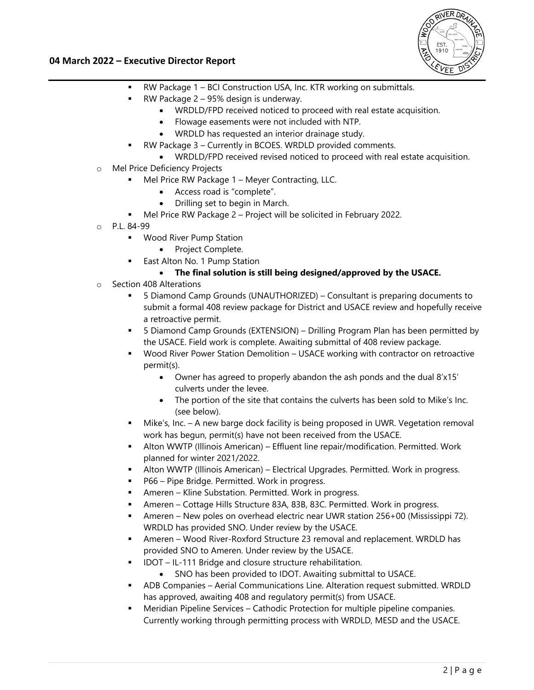

## **04 March 2022 – Executive Director Report**

- RW Package 1 BCI Construction USA, Inc. KTR working on submittals.
- RW Package 2 95% design is underway.
	- WRDLD/FPD received noticed to proceed with real estate acquisition.
	- Flowage easements were not included with NTP.
	- WRDLD has requested an interior drainage study.
	- RW Package 3 Currently in BCOES. WRDLD provided comments.
- WRDLD/FPD received revised noticed to proceed with real estate acquisition.
- o Mel Price Deficiency Projects
	- Mel Price RW Package 1 Meyer Contracting, LLC.
		- Access road is "complete".
		- Drilling set to begin in March.
	- Mel Price RW Package 2 Project will be solicited in February 2022.
- o P.L. 84-99
	- **Wood River Pump Station** 
		- Project Complete.
	- East Alton No. 1 Pump Station
		- **The final solution is still being designed/approved by the USACE.**
- o Section 408 Alterations
	- 5 Diamond Camp Grounds (UNAUTHORIZED) Consultant is preparing documents to submit a formal 408 review package for District and USACE review and hopefully receive a retroactive permit.
	- 5 Diamond Camp Grounds (EXTENSION) Drilling Program Plan has been permitted by the USACE. Field work is complete. Awaiting submittal of 408 review package.
	- Wood River Power Station Demolition USACE working with contractor on retroactive permit(s).
		- Owner has agreed to properly abandon the ash ponds and the dual 8'x15' culverts under the levee.
		- The portion of the site that contains the culverts has been sold to Mike's Inc. (see below).
	- Mike's, Inc. A new barge dock facility is being proposed in UWR. Vegetation removal work has begun, permit(s) have not been received from the USACE.
	- Alton WWTP (Illinois American) Effluent line repair/modification. Permitted. Work planned for winter 2021/2022.
	- Alton WWTP (Illinois American) Electrical Upgrades. Permitted. Work in progress.
	- P66 Pipe Bridge. Permitted. Work in progress.
	- Ameren Kline Substation. Permitted. Work in progress.
	- Ameren Cottage Hills Structure 83A, 83B, 83C. Permitted. Work in progress.
	- Ameren New poles on overhead electric near UWR station 256+00 (Mississippi 72). WRDLD has provided SNO. Under review by the USACE.
	- Ameren Wood River-Roxford Structure 23 removal and replacement. WRDLD has provided SNO to Ameren. Under review by the USACE.
	- IDOT IL-111 Bridge and closure structure rehabilitation.
		- SNO has been provided to IDOT. Awaiting submittal to USACE.
	- ADB Companies Aerial Communications Line. Alteration request submitted. WRDLD has approved, awaiting 408 and regulatory permit(s) from USACE.
	- **Meridian Pipeline Services Cathodic Protection for multiple pipeline companies.** Currently working through permitting process with WRDLD, MESD and the USACE.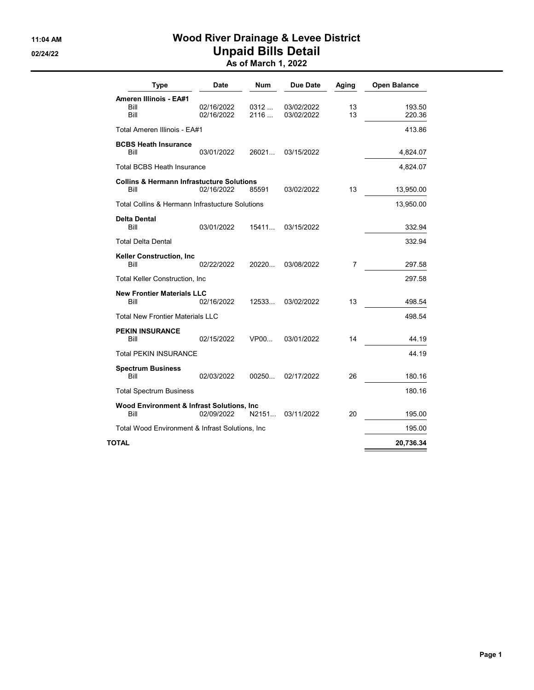## 11:04 AM Wood River Drainage & Levee District 02/24/22 **Unpaid Bills Detail** As of March 1, 2022

| <b>Type</b>                                                  | Date                     | <b>Num</b>   | Due Date                 | Aging    | <b>Open Balance</b> |
|--------------------------------------------------------------|--------------------------|--------------|--------------------------|----------|---------------------|
| Ameren Illinois - EA#1<br>Bill<br>Bill                       | 02/16/2022<br>02/16/2022 | 0312<br>2116 | 03/02/2022<br>03/02/2022 | 13<br>13 | 193.50<br>220.36    |
| Total Ameren Illinois - EA#1                                 |                          |              |                          |          | 413.86              |
| <b>BCBS Heath Insurance</b><br>Bill                          | 03/01/2022               | 26021        | 03/15/2022               |          | 4,824.07            |
| <b>Total BCBS Heath Insurance</b>                            |                          |              |                          |          | 4,824.07            |
| <b>Collins &amp; Hermann Infrastucture Solutions</b><br>Bill | 02/16/2022               | 85591        | 03/02/2022               | 13       | 13,950.00           |
| Total Collins & Hermann Infrastucture Solutions              |                          |              |                          |          | 13,950.00           |
| <b>Delta Dental</b><br>Bill                                  | 03/01/2022               | 15411        | 03/15/2022               |          | 332.94              |
| <b>Total Delta Dental</b>                                    |                          |              |                          |          | 332.94              |
| <b>Keller Construction, Inc.</b><br>Bill                     | 02/22/2022               | 20220        | 03/08/2022               | 7        | 297.58              |
| <b>Total Keller Construction, Inc.</b>                       |                          |              |                          |          | 297.58              |
| <b>New Frontier Materials LLC</b><br>Bill                    | 02/16/2022               | 12533        | 03/02/2022               | 13       | 498.54              |
| <b>Total New Frontier Materials LLC</b>                      |                          |              |                          |          | 498.54              |
| <b>PEKIN INSURANCE</b><br>Bill                               | 02/15/2022               | VP00         | 03/01/2022               | 14       | 44.19               |
| Total PEKIN INSURANCE                                        |                          |              |                          |          | 44.19               |
| <b>Spectrum Business</b><br>Bill                             | 02/03/2022               | 00250        | 02/17/2022               | 26       | 180.16              |
| <b>Total Spectrum Business</b>                               |                          |              |                          |          | 180.16              |
| Wood Environment & Infrast Solutions, Inc.<br>Bill           | 02/09/2022               | N2151        | 03/11/2022               | 20       | 195.00              |
| Total Wood Environment & Infrast Solutions, Inc              |                          |              |                          |          | 195.00              |
| TOTAL                                                        |                          |              |                          |          | 20,736.34           |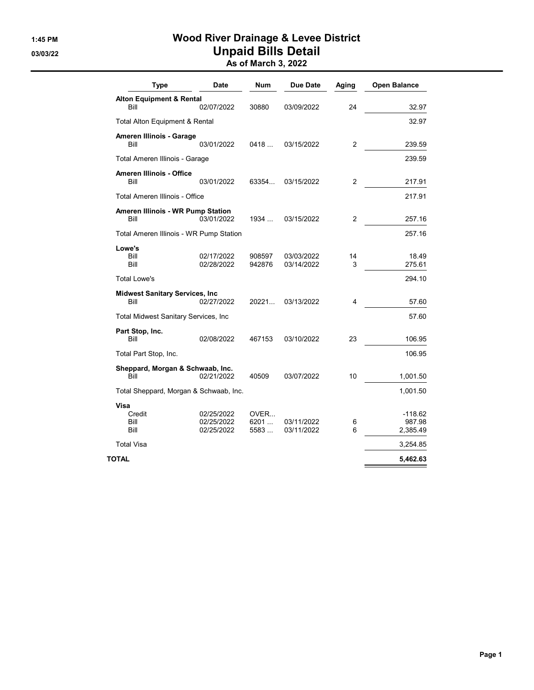# 1:45 PM Wood River Drainage & Levee District 03/03/22 **Unpaid Bills Detail**

As of March 3, 2022

| <b>Type</b>                                    | <b>Date</b>                            | Num                  | Due Date                 | Aging          | <b>Open Balance</b>           |
|------------------------------------------------|----------------------------------------|----------------------|--------------------------|----------------|-------------------------------|
| <b>Alton Equipment &amp; Rental</b><br>Bill    | 02/07/2022                             | 30880                | 03/09/2022               | 24             | 32.97                         |
|                                                |                                        |                      |                          |                | 32.97                         |
| Total Alton Equipment & Rental                 |                                        |                      |                          |                |                               |
| Ameren Illinois - Garage<br>Bill               | 03/01/2022                             | 0418                 | 03/15/2022               | $\overline{2}$ | 239.59                        |
| Total Ameren Illinois - Garage                 |                                        |                      |                          |                | 239.59                        |
| <b>Ameren Illinois - Office</b><br>Bill        | 03/01/2022                             | 63354                | 03/15/2022               | $\overline{2}$ | 217.91                        |
| Total Ameren Illinois - Office                 |                                        |                      |                          |                | 217.91                        |
| Ameren Illinois - WR Pump Station<br>Bill      | 03/01/2022                             | 1934                 | 03/15/2022               | $\overline{2}$ | 257.16                        |
| Total Ameren Illinois - WR Pump Station        |                                        |                      |                          |                | 257.16                        |
| Lowe's                                         |                                        |                      |                          |                |                               |
| Bill<br>Bill                                   | 02/17/2022<br>02/28/2022               | 908597<br>942876     | 03/03/2022<br>03/14/2022 | 14<br>3        | 18.49<br>275.61               |
| <b>Total Lowe's</b>                            |                                        |                      |                          |                | 294.10                        |
| <b>Midwest Sanitary Services, Inc.</b><br>Bill | 02/27/2022                             | 20221                | 03/13/2022               | 4              | 57.60                         |
| <b>Total Midwest Sanitary Services, Inc.</b>   |                                        |                      |                          |                | 57.60                         |
| Part Stop, Inc.<br>Bill                        | 02/08/2022                             | 467153               | 03/10/2022               | 23             | 106.95                        |
| Total Part Stop, Inc.                          |                                        |                      |                          |                | 106.95                        |
| Sheppard, Morgan & Schwaab, Inc.               |                                        |                      |                          |                |                               |
| Bill                                           | 02/21/2022                             | 40509                | 03/07/2022               | 10             | 1,001.50                      |
| Total Sheppard, Morgan & Schwaab, Inc.         |                                        |                      |                          |                | 1,001.50                      |
| <b>Visa</b><br>Credit<br>Bill<br>Bill          | 02/25/2022<br>02/25/2022<br>02/25/2022 | OVER<br>6201<br>5583 | 03/11/2022<br>03/11/2022 | 6<br>6         | -118.62<br>987.98<br>2,385.49 |
| <b>Total Visa</b>                              |                                        |                      |                          |                | 3,254.85                      |
| TOTAL                                          |                                        |                      |                          |                | 5,462.63                      |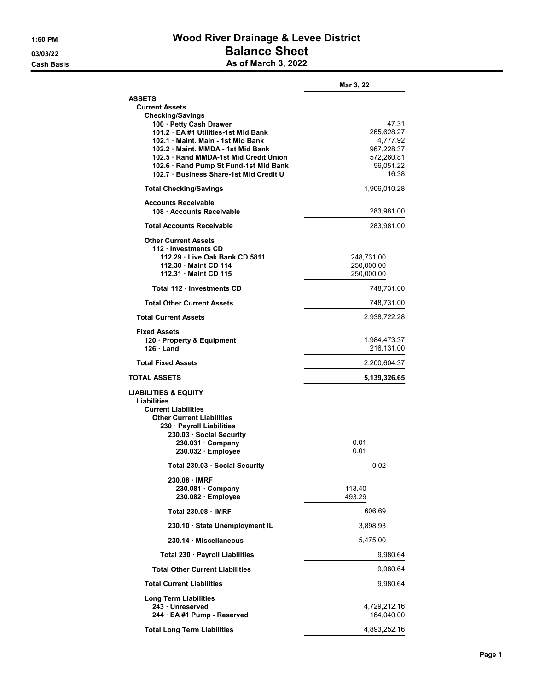# 1:50 PM Wood River Drainage & Levee District 03/03/22 **Balance Sheet Cash Basis** Cash Basis **As of March 3, 2022**

|                                                                                | Mar 3, 22               |
|--------------------------------------------------------------------------------|-------------------------|
| <b>ASSETS</b>                                                                  |                         |
| <b>Current Assets</b>                                                          |                         |
| <b>Checking/Savings</b><br>100 · Petty Cash Drawer                             | 47.31                   |
| 101.2 EA #1 Utilities-1st Mid Bank                                             | 265,628.27              |
| 102.1 Maint, Main - 1st Mid Bank                                               | 4,777.92                |
| 102.2 Maint, MMDA - 1st Mid Bank                                               | 967,228.37              |
| 102.5 Rand MMDA-1st Mid Credit Union<br>102.6 · Rand Pump St Fund-1st Mid Bank | 572,260.81<br>96.051.22 |
| 102.7 · Business Share-1st Mid Credit U                                        | 16.38                   |
| <b>Total Checking/Savings</b>                                                  | 1,906,010.28            |
| <b>Accounts Receivable</b><br>108 Accounts Receivable                          | 283,981.00              |
| <b>Total Accounts Receivable</b>                                               | 283,981.00              |
| <b>Other Current Assets</b>                                                    |                         |
| 112 · Investments CD<br>112.29 · Live Oak Bank CD 5811                         | 248,731.00              |
| 112.30 Maint CD 114                                                            | 250,000.00              |
| 112.31 Maint CD 115                                                            | 250,000.00              |
| Total 112 Investments CD                                                       | 748,731.00              |
| <b>Total Other Current Assets</b>                                              | 748,731.00              |
| <b>Total Current Assets</b>                                                    | 2,938,722.28            |
| <b>Fixed Assets</b><br>120 · Property & Equipment                              | 1,984,473.37            |
| $126 \cdot$ Land                                                               | 216,131.00              |
| <b>Total Fixed Assets</b>                                                      | 2,200,604.37            |
| <b>TOTAL ASSETS</b>                                                            | 5,139,326.65            |
| <b>LIABILITIES &amp; EQUITY</b>                                                |                         |
| Liabilities<br><b>Current Liabilities</b>                                      |                         |
| <b>Other Current Liabilities</b>                                               |                         |
| 230 · Payroll Liabilities                                                      |                         |
| 230.03 Social Security<br>$230.031 \cdot$ Company                              | 0.01                    |
| 230.032 · Employee                                                             | 0.01                    |
| Total 230.03 · Social Security                                                 | 0.02                    |
| 230.08 · IMRF                                                                  |                         |
| $230.081 \cdot$ Company                                                        | 113.40                  |
| 230.082 · Employee                                                             | 493.29                  |
| <b>Total 230.08 IMRF</b>                                                       | 606.69                  |
| 230.10 · State Unemployment IL                                                 | 3,898.93                |
| 230.14 · Miscellaneous                                                         | 5,475.00                |
| Total 230 · Payroll Liabilities                                                | 9,980.64                |
| <b>Total Other Current Liabilities</b>                                         | 9,980.64                |
| <b>Total Current Liabilities</b>                                               | 9,980.64                |
| Long Term Liabilities<br>243 Unreserved                                        | 4,729,212.16            |
| 244 · EA #1 Pump - Reserved                                                    | 164,040.00              |
|                                                                                |                         |
| <b>Total Long Term Liabilities</b>                                             | 4,893,252.16            |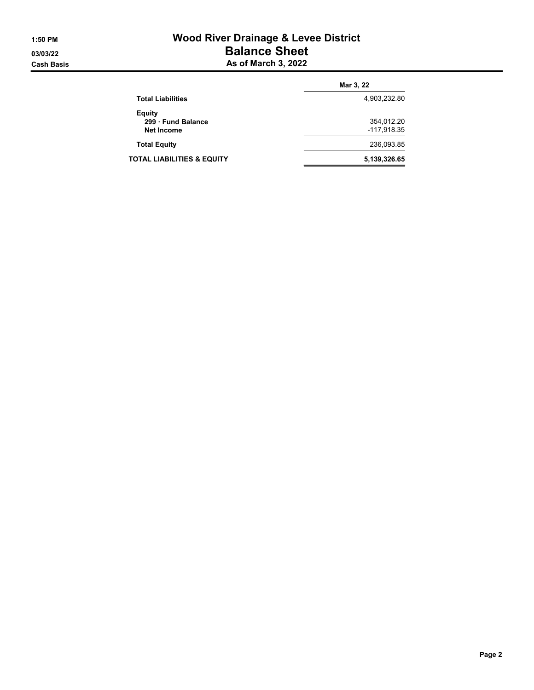# 1:50 PM Wood River Drainage & Levee District 03/03/22 Balance Sheet **Cash Basis** Cash Basis **As of March 3, 2022**

|                                                   | Mar 3, 22                 |  |
|---------------------------------------------------|---------------------------|--|
| <b>Total Liabilities</b>                          | 4,903,232.80              |  |
| Equity<br>299 · Fund Balance<br><b>Net Income</b> | 354,012.20<br>-117,918.35 |  |
| <b>Total Equity</b>                               | 236,093.85                |  |
| <b>TOTAL LIABILITIES &amp; EQUITY</b>             | 5,139,326.65              |  |
|                                                   |                           |  |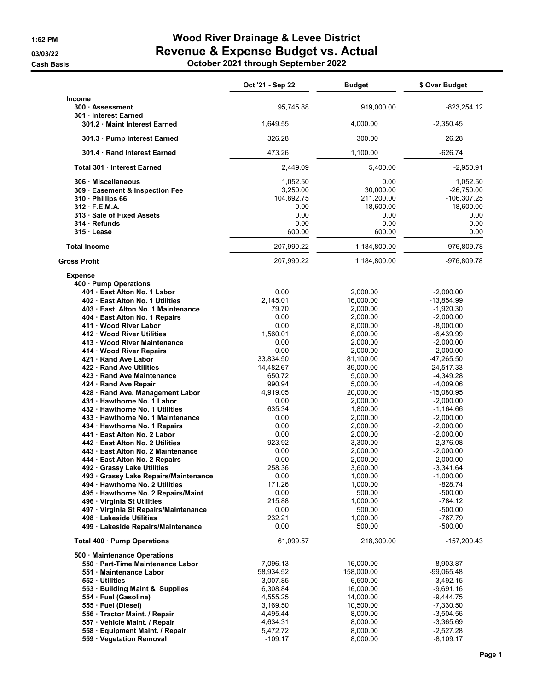**Cash Basis** 

# 1:52 PM Wood River Drainage & Levee District 03/03/22 Revenue & Expense Budget vs. Actual

|  |  | October 2021 through September 2022 |
|--|--|-------------------------------------|
|--|--|-------------------------------------|

|                                                                                                                                                                                                                                                                                                                                                                                                                                                                                                                                                                                                                                                                                                                                                                                                                                                                                                                                                                                                                    | Oct '21 - Sep 22                                                                                                                                                                                                                                                            | <b>Budget</b>                                                                                                                                                                                                                                                                                                                                          | \$ Over Budget                                                                                                                                                                                                                                                                                                                                                                                                                      |
|--------------------------------------------------------------------------------------------------------------------------------------------------------------------------------------------------------------------------------------------------------------------------------------------------------------------------------------------------------------------------------------------------------------------------------------------------------------------------------------------------------------------------------------------------------------------------------------------------------------------------------------------------------------------------------------------------------------------------------------------------------------------------------------------------------------------------------------------------------------------------------------------------------------------------------------------------------------------------------------------------------------------|-----------------------------------------------------------------------------------------------------------------------------------------------------------------------------------------------------------------------------------------------------------------------------|--------------------------------------------------------------------------------------------------------------------------------------------------------------------------------------------------------------------------------------------------------------------------------------------------------------------------------------------------------|-------------------------------------------------------------------------------------------------------------------------------------------------------------------------------------------------------------------------------------------------------------------------------------------------------------------------------------------------------------------------------------------------------------------------------------|
| Income<br>300 Assessment                                                                                                                                                                                                                                                                                                                                                                                                                                                                                                                                                                                                                                                                                                                                                                                                                                                                                                                                                                                           | 95.745.88                                                                                                                                                                                                                                                                   | 919,000.00                                                                                                                                                                                                                                                                                                                                             | $-823,254.12$                                                                                                                                                                                                                                                                                                                                                                                                                       |
| 301 Interest Earned<br>301.2 Maint Interest Earned                                                                                                                                                                                                                                                                                                                                                                                                                                                                                                                                                                                                                                                                                                                                                                                                                                                                                                                                                                 | 1,649.55                                                                                                                                                                                                                                                                    | 4,000.00                                                                                                                                                                                                                                                                                                                                               | $-2,350.45$                                                                                                                                                                                                                                                                                                                                                                                                                         |
| 301.3 · Pump Interest Earned                                                                                                                                                                                                                                                                                                                                                                                                                                                                                                                                                                                                                                                                                                                                                                                                                                                                                                                                                                                       | 326.28                                                                                                                                                                                                                                                                      | 300.00                                                                                                                                                                                                                                                                                                                                                 | 26.28                                                                                                                                                                                                                                                                                                                                                                                                                               |
| 301.4 Rand Interest Earned                                                                                                                                                                                                                                                                                                                                                                                                                                                                                                                                                                                                                                                                                                                                                                                                                                                                                                                                                                                         | 473.26                                                                                                                                                                                                                                                                      | 1,100.00                                                                                                                                                                                                                                                                                                                                               | $-626.74$                                                                                                                                                                                                                                                                                                                                                                                                                           |
| Total 301 · Interest Earned                                                                                                                                                                                                                                                                                                                                                                                                                                                                                                                                                                                                                                                                                                                                                                                                                                                                                                                                                                                        | 2,449.09                                                                                                                                                                                                                                                                    | 5,400.00                                                                                                                                                                                                                                                                                                                                               | $-2,950.91$                                                                                                                                                                                                                                                                                                                                                                                                                         |
| 306 Miscellaneous<br>309 Easement & Inspection Fee<br>310 Phillips 66<br>312 F.E.M.A.<br>313 · Sale of Fixed Assets<br>314 Refunds<br>315 Lease                                                                                                                                                                                                                                                                                                                                                                                                                                                                                                                                                                                                                                                                                                                                                                                                                                                                    | 1,052.50<br>3,250.00<br>104,892.75<br>0.00<br>0.00<br>0.00<br>600.00                                                                                                                                                                                                        | 0.00<br>30,000.00<br>211,200.00<br>18,600.00<br>0.00<br>0.00<br>600.00                                                                                                                                                                                                                                                                                 | 1.052.50<br>$-26,750.00$<br>$-106, 307.25$<br>$-18,600.00$<br>0.00<br>0.00<br>0.00                                                                                                                                                                                                                                                                                                                                                  |
| <b>Total Income</b>                                                                                                                                                                                                                                                                                                                                                                                                                                                                                                                                                                                                                                                                                                                                                                                                                                                                                                                                                                                                | 207,990.22                                                                                                                                                                                                                                                                  | 1,184,800.00                                                                                                                                                                                                                                                                                                                                           | -976,809.78                                                                                                                                                                                                                                                                                                                                                                                                                         |
| <b>Gross Profit</b>                                                                                                                                                                                                                                                                                                                                                                                                                                                                                                                                                                                                                                                                                                                                                                                                                                                                                                                                                                                                | 207,990.22                                                                                                                                                                                                                                                                  | 1,184,800.00                                                                                                                                                                                                                                                                                                                                           | -976,809.78                                                                                                                                                                                                                                                                                                                                                                                                                         |
| <b>Expense</b><br>400 · Pump Operations<br>401 · East Alton No. 1 Labor<br>402 East Alton No. 1 Utilities<br>403 · East Alton No. 1 Maintenance<br>404 · East Alton No. 1 Repairs<br>411 Wood River Labor<br>412 Wood River Utilities<br>413 · Wood River Maintenance<br>414 · Wood River Repairs<br>421 · Rand Ave Labor<br>422 Rand Ave Utilities<br>423 Rand Ave Maintenance<br>424 · Rand Ave Repair<br>428 · Rand Ave. Management Labor<br>431 Hawthorne No. 1 Labor<br>432 · Hawthorne No. 1 Utilities<br>433 · Hawthorne No. 1 Maintenance<br>434 · Hawthorne No. 1 Repairs<br>441 · East Alton No. 2 Labor<br>442 East Alton No. 2 Utilities<br>443 · East Alton No. 2 Maintenance<br>444 · East Alton No. 2 Repairs<br>492 · Grassy Lake Utilities<br>493 Grassy Lake Repairs/Maintenance<br>494 · Hawthorne No. 2 Utilities<br>495 · Hawthorne No. 2 Repairs/Maint<br>496 Virginia St Utilities<br>497 · Virginia St Repairs/Maintenance<br>498 Lakeside Utilities<br>499 · Lakeside Repairs/Maintenance | 0.00<br>2,145.01<br>79.70<br>0.00<br>0.00<br>1,560.01<br>0.00<br>0.00<br>33,834.50<br>14,482.67<br>650.72<br>990.94<br>4,919.05<br>0.00<br>635.34<br>0.00<br>0.00<br>0.00<br>923.92<br>0.00<br>0.00<br>258.36<br>0.00<br>171.26<br>0.00<br>215.88<br>0.00<br>232.21<br>0.00 | 2,000.00<br>16,000.00<br>2.000.00<br>2,000.00<br>8,000.00<br>8,000.00<br>2,000.00<br>2,000.00<br>81,100.00<br>39,000.00<br>5,000.00<br>5,000.00<br>20,000.00<br>2,000.00<br>1,800.00<br>2,000.00<br>2,000.00<br>2,000.00<br>3,300.00<br>2,000.00<br>2,000.00<br>3,600.00<br>1,000.00<br>1,000.00<br>500.00<br>1,000.00<br>500.00<br>1,000.00<br>500.00 | $-2,000.00$<br>$-13,854.99$<br>$-1,920.30$<br>$-2,000.00$<br>$-8,000.00$<br>$-6,439.99$<br>$-2,000.00$<br>$-2,000.00$<br>-47,265.50<br>$-24,517.33$<br>$-4,349.28$<br>$-4,009.06$<br>$-15,080.95$<br>$-2,000.00$<br>$-1,164.66$<br>$-2,000.00$<br>$-2,000.00$<br>$-2,000.00$<br>$-2,376.08$<br>$-2,000.00$<br>$-2.000.00$<br>$-3,341.64$<br>$-1,000.00$<br>$-828.74$<br>$-500.00$<br>$-784.12$<br>$-500.00$<br>-767.79<br>$-500.00$ |
| Total 400 · Pump Operations<br>500 Maintenance Operations<br>550 · Part-Time Maintenance Labor<br>551 Maintenance Labor<br>552 Utilities<br>553 · Building Maint & Supplies<br>554 · Fuel (Gasoline)<br>555 · Fuel (Diesel)<br>556 · Tractor Maint. / Repair<br>557 · Vehicle Maint. / Repair<br>558 · Equipment Maint. / Repair<br>559 · Vegetation Removal                                                                                                                                                                                                                                                                                                                                                                                                                                                                                                                                                                                                                                                       | 61,099.57<br>7,096.13<br>58,934.52<br>3,007.85<br>6,308.84<br>4,555.25<br>3,169.50<br>4,495.44<br>4,634.31<br>5,472.72<br>$-109.17$                                                                                                                                         | 218,300.00<br>16,000.00<br>158,000.00<br>6,500.00<br>16,000.00<br>14,000.00<br>10,500.00<br>8,000.00<br>8,000.00<br>8,000.00<br>8,000.00                                                                                                                                                                                                               | $-157,200.43$<br>$-8,903.87$<br>-99,065.48<br>$-3,492.15$<br>$-9,691.16$<br>$-9,444.75$<br>$-7,330.50$<br>$-3,504.56$<br>$-3,365.69$<br>$-2,527.28$<br>$-8,109.17$                                                                                                                                                                                                                                                                  |